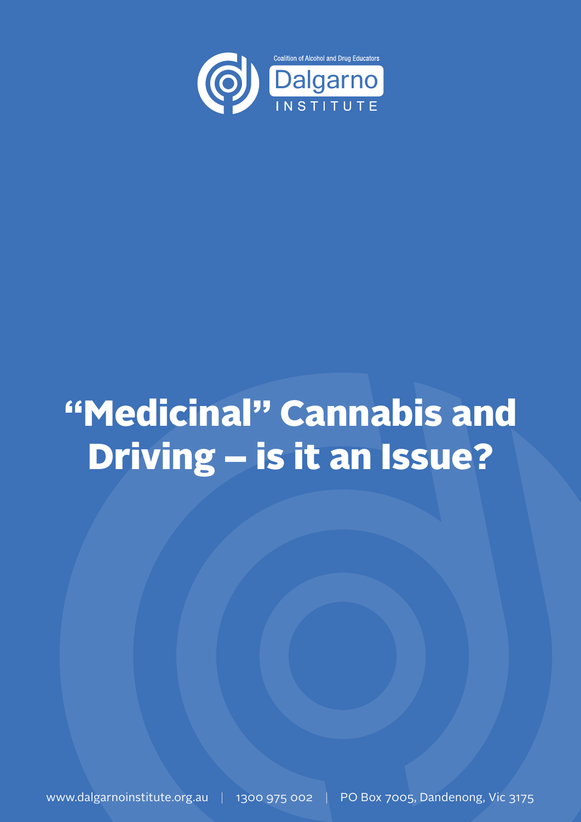

# "Medicinal" Cannabis and Driving – is it an Issue?

www.dalgarnoinstitute.org.au | 1300 975 002 | PO Box 7005, Dandenong, Vic 3175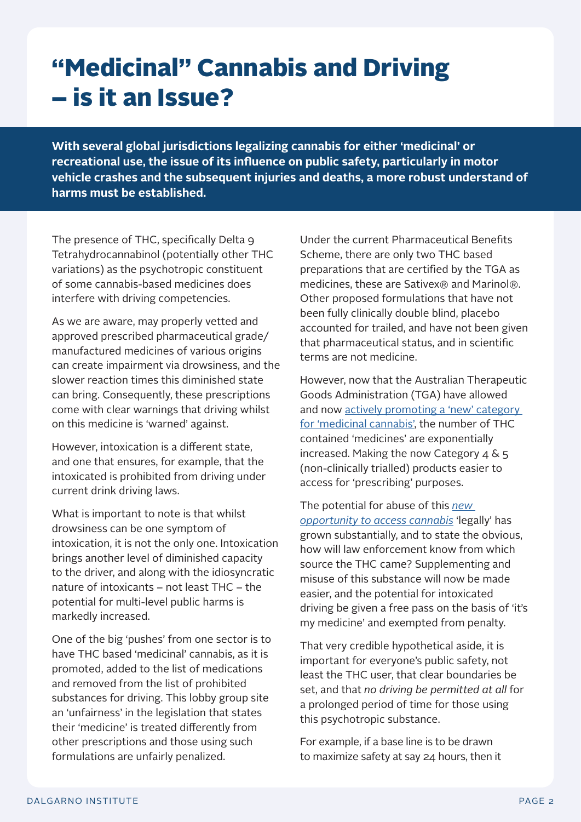## "Medicinal" Cannabis and Driving – is it an Issue?

**With several global jurisdictions legalizing cannabis for either 'medicinal' or recreational use, the issue of its influence on public safety, particularly in motor vehicle crashes and the subsequent injuries and deaths, a more robust understand of harms must be established.** 

The presence of THC, specifically Delta 9 Tetrahydrocannabinol (potentially other THC variations) as the psychotropic constituent of some cannabis-based medicines does interfere with driving competencies.

As we are aware, may properly vetted and approved prescribed pharmaceutical grade/ manufactured medicines of various origins can create impairment via drowsiness, and the slower reaction times this diminished state can bring. Consequently, these prescriptions come with clear warnings that driving whilst on this medicine is 'warned' against.

However, intoxication is a different state, and one that ensures, for example, that the intoxicated is prohibited from driving under current drink driving laws.

What is important to note is that whilst drowsiness can be one symptom of intoxication, it is not the only one. Intoxication brings another level of diminished capacity to the driver, and along with the idiosyncratic nature of intoxicants – not least THC – the potential for multi-level public harms is markedly increased.

One of the big 'pushes' from one sector is to have THC based 'medicinal' cannabis, as it is promoted, added to the list of medications and removed from the list of prohibited substances for driving. This lobby group site an 'unfairness' in the legislation that states their 'medicine' is treated differently from other prescriptions and those using such formulations are unfairly penalized.

Under the current Pharmaceutical Benefits Scheme, there are only two THC based preparations that are certified by the TGA as medicines, these are Sativex® and Marinol®. Other proposed formulations that have not been fully clinically double blind, placebo accounted for trailed, and have not been given that pharmaceutical status, and in scientific terms are not medicine.

However, now that the Australian Therapeutic Goods Administration (TGA) have allowed and now [actively promoting a 'new' category](https://www.youtube.com/watch?v=L3x4b7yCKZ8)  [for 'medicinal cannabis',](https://www.youtube.com/watch?v=L3x4b7yCKZ8) the number of THC contained 'medicines' are exponentially increased. Making the now Category  $4 \& 5$ (non-clinically trialled) products easier to access for 'prescribing' purposes.

The potential for abuse of this *[new](https://www.tga.gov.au/medicinal-cannabis-information-health-professionals)  [opportunity to access cannabis](https://www.tga.gov.au/medicinal-cannabis-information-health-professionals)* 'legally' has grown substantially, and to state the obvious, how will law enforcement know from which source the THC came? Supplementing and misuse of this substance will now be made easier, and the potential for intoxicated driving be given a free pass on the basis of 'it's my medicine' and exempted from penalty.

That very credible hypothetical aside, it is important for everyone's public safety, not least the THC user, that clear boundaries be set, and that *no driving be permitted at all* for a prolonged period of time for those using this psychotropic substance.

For example, if a base line is to be drawn to maximize safety at say 24 hours, then it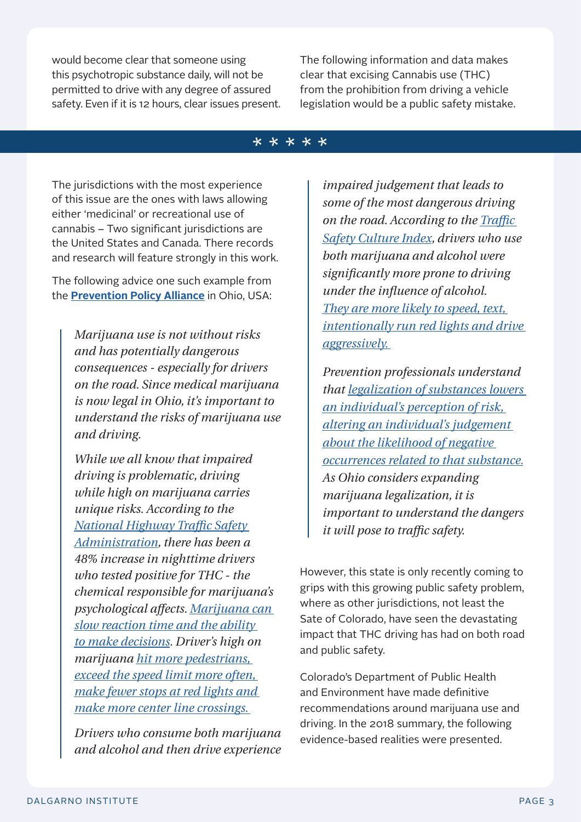would become clear that someone using this psychotropic substance daily, will not be permitted to drive with any degree of assured safety. Even if it is 12 hours, clear issues present. The following information and data makes clear that excising Cannabis use (THC) from the prohibition from driving a vehicle legislation would be a public safety mistake.

#### \*\*\*\*\*

The jurisdictions with the most experience of this issue are the ones with laws allowing either 'medicinal' or recreational use of cannabis – Two significant jurisdictions are the United States and Canada. There records and research will feature strongly in this work.

The following advice one such example from the **[Prevention Policy Alliance](https://preventionactionalliance.org/learn/about-marijuana/marijuana-fact-sheets/)** in Ohio, USA:

> *Marijuana use is not without risks and has potentially dangerous consequences - especially for drivers on the road. Since medical marijuana is now legal in Ohio, it's important to understand the risks of marijuana use and driving.*

*While we all know that impaired driving is problematic, driving while high on marijuana carries unique risks. According to the [National Highway Traffic Safety](https://r20.rs6.net/tn.jsp?f=001c5M-hCZ4_AGy66lq4s7ZrGgYXh_oKWRFYIGewgHYchM2FEFz6_ehR9ZSNOUZrGpAo3D8czQH_xeBT6cjqhrxJtfaTUXOYtUI_jYn92IoljC8snWRnwx7BozwCROXnUMD8Jlt-528o9LKjsFyBGQhq39S5VnfPliqYzCU2XxckLtH8qKWP2xUzR53ivHk1RwM4twt8mxR7hAhML5gng5CTMSG-slk-9VSV4SAZiegk4A=&c=T7lj-hrobvl3eFi16thn97VsuMpBajuz46jTb9bA19MNBcZOogX7yg==&ch=9o4rh_V3UfpEg34B1BjxnYLFNzkG9sClOSy2uDmbg7wXLcYkSytyIQ==)  [Administration,](https://r20.rs6.net/tn.jsp?f=001c5M-hCZ4_AGy66lq4s7ZrGgYXh_oKWRFYIGewgHYchM2FEFz6_ehR9ZSNOUZrGpAo3D8czQH_xeBT6cjqhrxJtfaTUXOYtUI_jYn92IoljC8snWRnwx7BozwCROXnUMD8Jlt-528o9LKjsFyBGQhq39S5VnfPliqYzCU2XxckLtH8qKWP2xUzR53ivHk1RwM4twt8mxR7hAhML5gng5CTMSG-slk-9VSV4SAZiegk4A=&c=T7lj-hrobvl3eFi16thn97VsuMpBajuz46jTb9bA19MNBcZOogX7yg==&ch=9o4rh_V3UfpEg34B1BjxnYLFNzkG9sClOSy2uDmbg7wXLcYkSytyIQ==) there has been a 48% increase in nighttime drivers who tested positive for THC - the chemical responsible for marijuana's psychological affects. [Marijuana can](https://r20.rs6.net/tn.jsp?f=001c5M-hCZ4_AGy66lq4s7ZrGgYXh_oKWRFYIGewgHYchM2FEFz6_ehR9ZSNOUZrGpAU4uCga36NGpBI8YBGiH1UlyHOr0jl0_foVNeJcCvtbA8WVdpjQ2FpM4qDtMiXkx32nt3cAigwngIlo2EdDS4ECSx-HazJ_NNIcLPc4bd3rwTPSvlZruvQxhnlfIMZbW2&c=T7lj-hrobvl3eFi16thn97VsuMpBajuz46jTb9bA19MNBcZOogX7yg==&ch=9o4rh_V3UfpEg34B1BjxnYLFNzkG9sClOSy2uDmbg7wXLcYkSytyIQ==)  [slow reaction time and the ability](https://r20.rs6.net/tn.jsp?f=001c5M-hCZ4_AGy66lq4s7ZrGgYXh_oKWRFYIGewgHYchM2FEFz6_ehR9ZSNOUZrGpAU4uCga36NGpBI8YBGiH1UlyHOr0jl0_foVNeJcCvtbA8WVdpjQ2FpM4qDtMiXkx32nt3cAigwngIlo2EdDS4ECSx-HazJ_NNIcLPc4bd3rwTPSvlZruvQxhnlfIMZbW2&c=T7lj-hrobvl3eFi16thn97VsuMpBajuz46jTb9bA19MNBcZOogX7yg==&ch=9o4rh_V3UfpEg34B1BjxnYLFNzkG9sClOSy2uDmbg7wXLcYkSytyIQ==)  [to make decisions.](https://r20.rs6.net/tn.jsp?f=001c5M-hCZ4_AGy66lq4s7ZrGgYXh_oKWRFYIGewgHYchM2FEFz6_ehR9ZSNOUZrGpAU4uCga36NGpBI8YBGiH1UlyHOr0jl0_foVNeJcCvtbA8WVdpjQ2FpM4qDtMiXkx32nt3cAigwngIlo2EdDS4ECSx-HazJ_NNIcLPc4bd3rwTPSvlZruvQxhnlfIMZbW2&c=T7lj-hrobvl3eFi16thn97VsuMpBajuz46jTb9bA19MNBcZOogX7yg==&ch=9o4rh_V3UfpEg34B1BjxnYLFNzkG9sClOSy2uDmbg7wXLcYkSytyIQ==) Driver's high on marijuana [hit more pedestrians,](https://r20.rs6.net/tn.jsp?f=001c5M-hCZ4_AGy66lq4s7ZrGgYXh_oKWRFYIGewgHYchM2FEFz6_ehR9ZSNOUZrGpAxRaUtQAge0YDiZroIo2qaoxT_d70xK5VBDFAouVbb_nquZi5gwLvOUxI90THQt02WpBThsFDSsGjGLjWx5QZqaK9QeBDQD_OEK6kpm3XyY0AfKNyJZ0pRbvlkl0Vv1Zgf_s3V-Pd_FA=&c=T7lj-hrobvl3eFi16thn97VsuMpBajuz46jTb9bA19MNBcZOogX7yg==&ch=9o4rh_V3UfpEg34B1BjxnYLFNzkG9sClOSy2uDmbg7wXLcYkSytyIQ==)  [exceed the speed limit more often,](https://r20.rs6.net/tn.jsp?f=001c5M-hCZ4_AGy66lq4s7ZrGgYXh_oKWRFYIGewgHYchM2FEFz6_ehR9ZSNOUZrGpAxRaUtQAge0YDiZroIo2qaoxT_d70xK5VBDFAouVbb_nquZi5gwLvOUxI90THQt02WpBThsFDSsGjGLjWx5QZqaK9QeBDQD_OEK6kpm3XyY0AfKNyJZ0pRbvlkl0Vv1Zgf_s3V-Pd_FA=&c=T7lj-hrobvl3eFi16thn97VsuMpBajuz46jTb9bA19MNBcZOogX7yg==&ch=9o4rh_V3UfpEg34B1BjxnYLFNzkG9sClOSy2uDmbg7wXLcYkSytyIQ==)  [make fewer stops at red lights and](https://r20.rs6.net/tn.jsp?f=001c5M-hCZ4_AGy66lq4s7ZrGgYXh_oKWRFYIGewgHYchM2FEFz6_ehR9ZSNOUZrGpAxRaUtQAge0YDiZroIo2qaoxT_d70xK5VBDFAouVbb_nquZi5gwLvOUxI90THQt02WpBThsFDSsGjGLjWx5QZqaK9QeBDQD_OEK6kpm3XyY0AfKNyJZ0pRbvlkl0Vv1Zgf_s3V-Pd_FA=&c=T7lj-hrobvl3eFi16thn97VsuMpBajuz46jTb9bA19MNBcZOogX7yg==&ch=9o4rh_V3UfpEg34B1BjxnYLFNzkG9sClOSy2uDmbg7wXLcYkSytyIQ==)  [make more center line crossings.](https://r20.rs6.net/tn.jsp?f=001c5M-hCZ4_AGy66lq4s7ZrGgYXh_oKWRFYIGewgHYchM2FEFz6_ehR9ZSNOUZrGpAxRaUtQAge0YDiZroIo2qaoxT_d70xK5VBDFAouVbb_nquZi5gwLvOUxI90THQt02WpBThsFDSsGjGLjWx5QZqaK9QeBDQD_OEK6kpm3XyY0AfKNyJZ0pRbvlkl0Vv1Zgf_s3V-Pd_FA=&c=T7lj-hrobvl3eFi16thn97VsuMpBajuz46jTb9bA19MNBcZOogX7yg==&ch=9o4rh_V3UfpEg34B1BjxnYLFNzkG9sClOSy2uDmbg7wXLcYkSytyIQ==)* 

*Drivers who consume both marijuana and alcohol and then drive experience* 

*impaired judgement that leads to some of the most dangerous driving on the road. According to the [Traffic](https://r20.rs6.net/tn.jsp?f=001c5M-hCZ4_AGy66lq4s7ZrGgYXh_oKWRFYIGewgHYchM2FEFz6_ehR9ZSNOUZrGpAJ2_i59yYiaMgJ0aHgkTd-wDaNpGkMibNPBpNU1VjblTTNZdKVTadmFKfcRkyIufThBK2k3eeydF2HAsVCK3N1XiP27OK1dmRKi-6QSHWynksoC253K1poq8iRsDrQZAZFUrqIJzFvLIDOUySjZ2MErNbAZ0ojPLbYcR7T-vxFk_3rmd8MmbOT6GbyjryCNB6nAMkquEOXVbTpZbKk5U0jvXDVdut_yXRnnWwMr1WMHI=&c=T7lj-hrobvl3eFi16thn97VsuMpBajuz46jTb9bA19MNBcZOogX7yg==&ch=9o4rh_V3UfpEg34B1BjxnYLFNzkG9sClOSy2uDmbg7wXLcYkSytyIQ==)  [Safety Culture Index](https://r20.rs6.net/tn.jsp?f=001c5M-hCZ4_AGy66lq4s7ZrGgYXh_oKWRFYIGewgHYchM2FEFz6_ehR9ZSNOUZrGpAJ2_i59yYiaMgJ0aHgkTd-wDaNpGkMibNPBpNU1VjblTTNZdKVTadmFKfcRkyIufThBK2k3eeydF2HAsVCK3N1XiP27OK1dmRKi-6QSHWynksoC253K1poq8iRsDrQZAZFUrqIJzFvLIDOUySjZ2MErNbAZ0ojPLbYcR7T-vxFk_3rmd8MmbOT6GbyjryCNB6nAMkquEOXVbTpZbKk5U0jvXDVdut_yXRnnWwMr1WMHI=&c=T7lj-hrobvl3eFi16thn97VsuMpBajuz46jTb9bA19MNBcZOogX7yg==&ch=9o4rh_V3UfpEg34B1BjxnYLFNzkG9sClOSy2uDmbg7wXLcYkSytyIQ==), drivers who use both marijuana and alcohol were significantly more prone to driving under the influence of alcohol. [They are more likely to speed, text,](https://r20.rs6.net/tn.jsp?f=001c5M-hCZ4_AGy66lq4s7ZrGgYXh_oKWRFYIGewgHYchM2FEFz6_ehR9ZSNOUZrGpA3uEya56AZm2LH-vmXDTse7zpq7uT2WH_b3-ITsLkYF43lUZ_XNiIu2jufruDpJYelD3UiGOX-p_mePXVDWylgwOMBAHx3BS61U_Tdo0tQ54=&c=T7lj-hrobvl3eFi16thn97VsuMpBajuz46jTb9bA19MNBcZOogX7yg==&ch=9o4rh_V3UfpEg34B1BjxnYLFNzkG9sClOSy2uDmbg7wXLcYkSytyIQ==)  [intentionally run red lights and drive](https://r20.rs6.net/tn.jsp?f=001c5M-hCZ4_AGy66lq4s7ZrGgYXh_oKWRFYIGewgHYchM2FEFz6_ehR9ZSNOUZrGpA3uEya56AZm2LH-vmXDTse7zpq7uT2WH_b3-ITsLkYF43lUZ_XNiIu2jufruDpJYelD3UiGOX-p_mePXVDWylgwOMBAHx3BS61U_Tdo0tQ54=&c=T7lj-hrobvl3eFi16thn97VsuMpBajuz46jTb9bA19MNBcZOogX7yg==&ch=9o4rh_V3UfpEg34B1BjxnYLFNzkG9sClOSy2uDmbg7wXLcYkSytyIQ==)  [aggressively.](https://r20.rs6.net/tn.jsp?f=001c5M-hCZ4_AGy66lq4s7ZrGgYXh_oKWRFYIGewgHYchM2FEFz6_ehR9ZSNOUZrGpA3uEya56AZm2LH-vmXDTse7zpq7uT2WH_b3-ITsLkYF43lUZ_XNiIu2jufruDpJYelD3UiGOX-p_mePXVDWylgwOMBAHx3BS61U_Tdo0tQ54=&c=T7lj-hrobvl3eFi16thn97VsuMpBajuz46jTb9bA19MNBcZOogX7yg==&ch=9o4rh_V3UfpEg34B1BjxnYLFNzkG9sClOSy2uDmbg7wXLcYkSytyIQ==)* 

*Prevention professionals understand that [legalization of substances lowers](https://r20.rs6.net/tn.jsp?f=001c5M-hCZ4_AGy66lq4s7ZrGgYXh_oKWRFYIGewgHYchM2FEFz6_ehR9ZSNOUZrGpAgWBWmg9sQq6xwe22svSbe-LZkgVtZetG_UauQh7Tq7ZY8vvg-beEBHR2N8udXqE2w9yFQby4aoV8bOwev5gpoERypYJnv3GoLKJ7BsWuRxQGnctdvqZmy067uz7zfjsSw21eNEIbdgHvtQ2oXBEWNw==&c=T7lj-hrobvl3eFi16thn97VsuMpBajuz46jTb9bA19MNBcZOogX7yg==&ch=9o4rh_V3UfpEg34B1BjxnYLFNzkG9sClOSy2uDmbg7wXLcYkSytyIQ==)  [an individual's perception of risk,](https://r20.rs6.net/tn.jsp?f=001c5M-hCZ4_AGy66lq4s7ZrGgYXh_oKWRFYIGewgHYchM2FEFz6_ehR9ZSNOUZrGpAgWBWmg9sQq6xwe22svSbe-LZkgVtZetG_UauQh7Tq7ZY8vvg-beEBHR2N8udXqE2w9yFQby4aoV8bOwev5gpoERypYJnv3GoLKJ7BsWuRxQGnctdvqZmy067uz7zfjsSw21eNEIbdgHvtQ2oXBEWNw==&c=T7lj-hrobvl3eFi16thn97VsuMpBajuz46jTb9bA19MNBcZOogX7yg==&ch=9o4rh_V3UfpEg34B1BjxnYLFNzkG9sClOSy2uDmbg7wXLcYkSytyIQ==)  [altering an individual's judgement](https://r20.rs6.net/tn.jsp?f=001c5M-hCZ4_AGy66lq4s7ZrGgYXh_oKWRFYIGewgHYchM2FEFz6_ehR9ZSNOUZrGpAgWBWmg9sQq6xwe22svSbe-LZkgVtZetG_UauQh7Tq7ZY8vvg-beEBHR2N8udXqE2w9yFQby4aoV8bOwev5gpoERypYJnv3GoLKJ7BsWuRxQGnctdvqZmy067uz7zfjsSw21eNEIbdgHvtQ2oXBEWNw==&c=T7lj-hrobvl3eFi16thn97VsuMpBajuz46jTb9bA19MNBcZOogX7yg==&ch=9o4rh_V3UfpEg34B1BjxnYLFNzkG9sClOSy2uDmbg7wXLcYkSytyIQ==)  [about the likelihood of negative](https://r20.rs6.net/tn.jsp?f=001c5M-hCZ4_AGy66lq4s7ZrGgYXh_oKWRFYIGewgHYchM2FEFz6_ehR9ZSNOUZrGpAgWBWmg9sQq6xwe22svSbe-LZkgVtZetG_UauQh7Tq7ZY8vvg-beEBHR2N8udXqE2w9yFQby4aoV8bOwev5gpoERypYJnv3GoLKJ7BsWuRxQGnctdvqZmy067uz7zfjsSw21eNEIbdgHvtQ2oXBEWNw==&c=T7lj-hrobvl3eFi16thn97VsuMpBajuz46jTb9bA19MNBcZOogX7yg==&ch=9o4rh_V3UfpEg34B1BjxnYLFNzkG9sClOSy2uDmbg7wXLcYkSytyIQ==)  [occurrences related to that substance.](https://r20.rs6.net/tn.jsp?f=001c5M-hCZ4_AGy66lq4s7ZrGgYXh_oKWRFYIGewgHYchM2FEFz6_ehR9ZSNOUZrGpAgWBWmg9sQq6xwe22svSbe-LZkgVtZetG_UauQh7Tq7ZY8vvg-beEBHR2N8udXqE2w9yFQby4aoV8bOwev5gpoERypYJnv3GoLKJ7BsWuRxQGnctdvqZmy067uz7zfjsSw21eNEIbdgHvtQ2oXBEWNw==&c=T7lj-hrobvl3eFi16thn97VsuMpBajuz46jTb9bA19MNBcZOogX7yg==&ch=9o4rh_V3UfpEg34B1BjxnYLFNzkG9sClOSy2uDmbg7wXLcYkSytyIQ==) As Ohio considers expanding marijuana legalization, it is important to understand the dangers it will pose to traffic safety.* 

However, this state is only recently coming to grips with this growing public safety problem, where as other jurisdictions, not least the Sate of Colorado, have seen the devastating impact that THC driving has had on both road and public safety.

Colorado's Department of Public Health and Environment have made definitive recommendations around marijuana use and driving. In the 2018 summary, the following evidence-based realities were presented.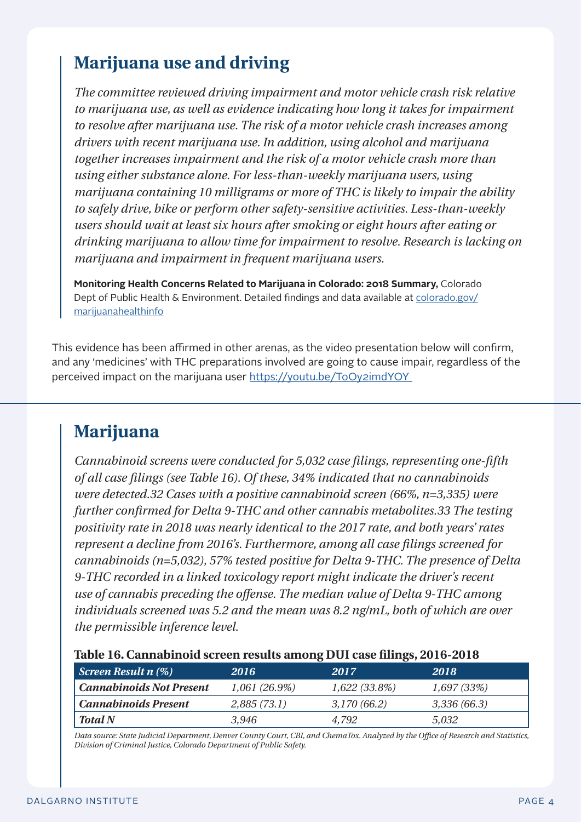## **Marijuana use and driving**

*The committee reviewed driving impairment and motor vehicle crash risk relative to marijuana use, as well as evidence indicating how long it takes for impairment to resolve after marijuana use. The risk of a motor vehicle crash increases among drivers with recent marijuana use. In addition, using alcohol and marijuana together increases impairment and the risk of a motor vehicle crash more than using either substance alone. For less-than-weekly marijuana users, using marijuana containing 10 milligrams or more of THC is likely to impair the ability to safely drive, bike or perform other safety-sensitive activities. Less-than-weekly users should wait at least six hours after smoking or eight hours after eating or drinking marijuana to allow time for impairment to resolve. Research is lacking on marijuana and impairment in frequent marijuana users.*

**Monitoring Health Concerns Related to Marijuana in Colorado: 2018 Summary,** Colorado Dept of Public Health & Environment. Detailed findings and data available at [colorado.gov/](https://marijuanahealthinfo.colorado.gov/) [marijuanahealthinfo](https://marijuanahealthinfo.colorado.gov/)

This evidence has been affirmed in other arenas, as the video presentation below will confirm, and any 'medicines' with THC preparations involved are going to cause impair, regardless of the perceived impact on the marijuana user https://youtu.be/ToOy2imdYOY

## **Marijuana**

*Cannabinoid screens were conducted for 5,032 case filings, representing one-fifth of all case filings (see Table 16). Of these, 34% indicated that no cannabinoids were detected.32 Cases with a positive cannabinoid screen (66%, n=3,335) were further confirmed for Delta 9-THC and other cannabis metabolites.33 The testing positivity rate in 2018 was nearly identical to the 2017 rate, and both years' rates represent a decline from 2016's. Furthermore, among all case filings screened for cannabinoids (n=5,032), 57% tested positive for Delta 9-THC. The presence of Delta 9-THC recorded in a linked toxicology report might indicate the driver's recent use of cannabis preceding the offense. The median value of Delta 9-THC among individuals screened was 5.2 and the mean was 8.2 ng/mL, both of which are over the permissible inference level.*

#### **Table 16. Cannabinoid screen results among DUI case filings, 2016-2018**

| Screen Result $n$ $(\%)$ | 2016            | 2017            | 2018         |
|--------------------------|-----------------|-----------------|--------------|
| Cannabinoids Not Present | $1,061(26.9\%)$ | $1,622(33.8\%)$ | 1,697(33%)   |
| Cannabinoids Present     | 2,885 (73.1)    | 3,170 (66.2)    | 3,336 (66.3) |
| <b>Total N</b>           | 3.946           | 4.792           | 5.032        |

*Data source: State Judicial Department, Denver County Court, CBI, and ChemaTox. Analyzed by the Office of Research and Statistics, Division of Criminal Justice, Colorado Department of Public Safety.*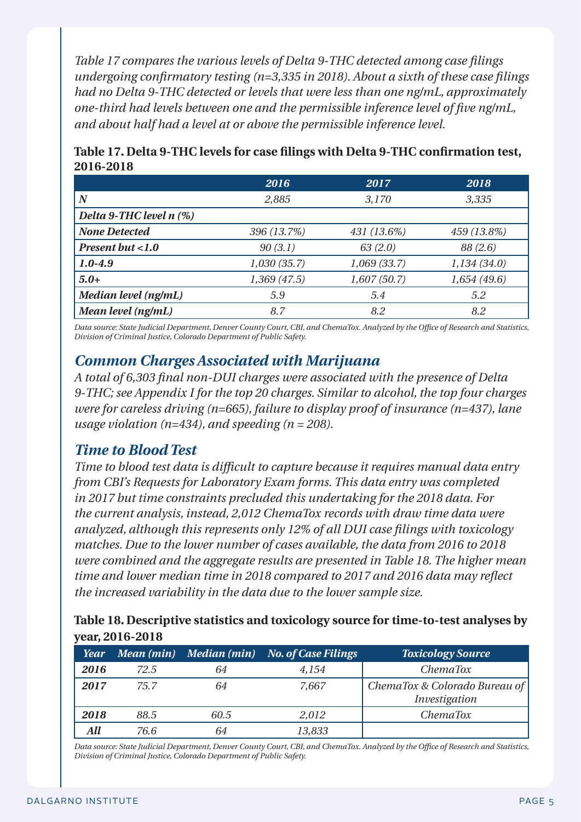*Table 17 compares the various levels of Delta 9-THC detected among case filings undergoing confirmatory testing (n=3,335 in 2018). About a sixth of these case filings had no Delta 9-THC detected or levels that were less than one ng/mL, approximately one-third had levels between one and the permissible inference level of five ng/mL, and about half had a level at or above the permissible inference level.*

|                            | 2016        | 2017        | 2018        |
|----------------------------|-------------|-------------|-------------|
| $\bm{N}$                   | 2,885       | 3,170       | 3,335       |
| Delta 9-THC level $n$ (%)  |             |             |             |
| <b>None Detected</b>       | 396 (13.7%) | 431 (13.6%) | 459 (13.8%) |
| <b>Present but &lt;1.0</b> | 90(3.1)     | 63(2.0)     | 88 (2.6)    |
| $1.0 - 4.9$                | 1,030(35.7) | 1,069(33.7) | 1,134(34.0) |
| $5.0+$                     | 1,369(47.5) | 1,607(50.7) | 1,654(49.6) |
| Median level (ng/mL)       | 5.9         | 5.4         | 5.2         |
| Mean level (ng/mL)         | 8.7         | 8.2         | 8.2         |

| Table 17. Delta 9-THC levels for case filings with Delta 9-THC confirmation test, |  |
|-----------------------------------------------------------------------------------|--|
| 2016-2018                                                                         |  |

*Data source: State Judicial Department, Denver County Court, CBI, and ChemaTox. Analyzed by the Office of Research and Statistics, Division of Criminal Justice, Colorado Department of Public Safety.*

#### *Common Charges Associated with Marijuana*

*A total of 6,303 final non-DUI charges were associated with the presence of Delta 9-THC; see Appendix I for the top 20 charges. Similar to alcohol, the top four charges were for careless driving (n=665), failure to display proof of insurance (n=437), lane usage violation (n=434), and speeding (n = 208).* 

#### *Time to Blood Test*

*Time to blood test data is difficult to capture because it requires manual data entry from CBI's Requests for Laboratory Exam forms. This data entry was completed in 2017 but time constraints precluded this undertaking for the 2018 data. For the current analysis, instead, 2,012 ChemaTox records with draw time data were analyzed, although this represents only 12% of all DUI case filings with toxicology matches. Due to the lower number of cases available, the data from 2016 to 2018 were combined and the aggregate results are presented in Table 18. The higher mean time and lower median time in 2018 compared to 2017 and 2016 data may reflect the increased variability in the data due to the lower sample size.*

**Table 18. Descriptive statistics and toxicology source for time-to-test analyses by year, 2016-2018**

| <b>Year</b> | Mean (min) | Median (min) | No. of Case Filings | <b>Toxicology Source</b>                       |
|-------------|------------|--------------|---------------------|------------------------------------------------|
| 2016        | 72.5       | 64           | 4,154               | <i>ChemaTox</i>                                |
| 2017        | 75.7       | 64           | 7.667               | ChemaTox & Colorado Bureau of<br>Investigation |
| 2018        | 88.5       | 60.5         | 2,012               | <i>ChemaTox</i>                                |
|             | 76.6       | 64           | 13,833              |                                                |

*Data source: State Judicial Department, Denver County Court, CBI, and ChemaTox. Analyzed by the Office of Research and Statistics, Division of Criminal Justice, Colorado Department of Public Safety.*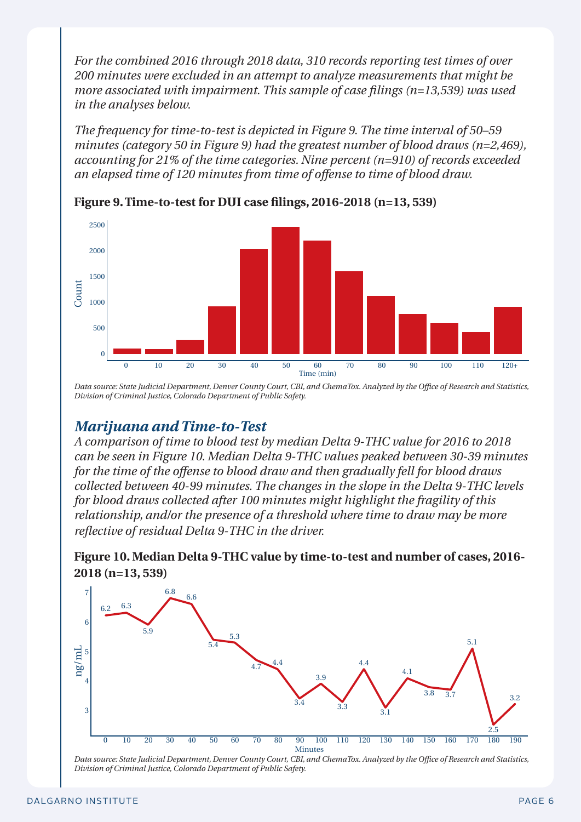*For the combined 2016 through 2018 data, 310 records reporting test times of over 200 minutes were excluded in an attempt to analyze measurements that might be more associated with impairment. This sample of case filings (n=13,539) was used in the analyses below.* 

*The frequency for time-to-test is depicted in Figure 9. The time interval of 50–59 minutes (category 50 in Figure 9) had the greatest number of blood draws (n=2,469), accounting for 21% of the time categories. Nine percent (n=910) of records exceeded an elapsed time of 120 minutes from time of offense to time of blood draw.*



**Figure 9. Time-to-test for DUI case filings, 2016-2018 (n=13, 539)**

*Data source: State Judicial Department, Denver County Court, CBI, and ChemaTox. Analyzed by the Office of Research and Statistics, Division of Criminal Justice, Colorado Department of Public Safety.*

#### *Marijuana and Time-to-Test*

*A comparison of time to blood test by median Delta 9-THC value for 2016 to 2018 can be seen in Figure 10. Median Delta 9-THC values peaked between 30-39 minutes for the time of the offense to blood draw and then gradually fell for blood draws collected between 40-99 minutes. The changes in the slope in the Delta 9-THC levels for blood draws collected after 100 minutes might highlight the fragility of this relationship, and/or the presence of a threshold where time to draw may be more reflective of residual Delta 9-THC in the driver.*

**Figure 10. Median Delta 9-THC value by time-to-test and number of cases, 2016- 2018 (n=13, 539)**



*Data source: State Judicial Department, Denver County Court, CBI, and ChemaTox. Analyzed by the Office of Research and Statistics, Division of Criminal Justice, Colorado Department of Public Safety.*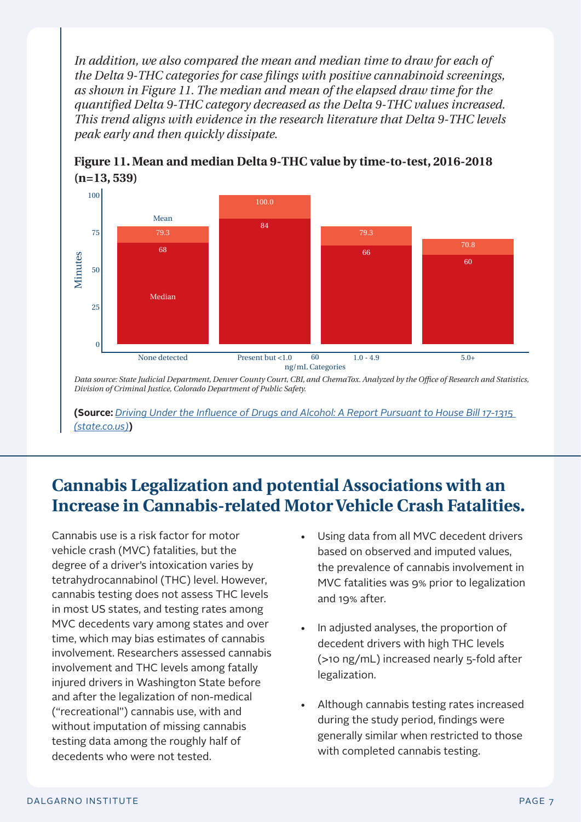In addition, we also compared the mean and median time to draw for each of *the Delta 9-THC categories for case filings with positive cannabinoid screenings, as shown in Figure 11. The median and mean of the elapsed draw time for the quantified Delta 9-THC category decreased as the Delta 9-THC values increased. This trend aligns with evidence in the research literature that Delta 9-THC levels peak early and then quickly dissipate.*



**Figure 11. Mean and median Delta 9-THC value by time-to-test, 2016-2018 (n=13, 539)**

*Data source: State Judicial Department, Denver County Court, CBI, and ChemaTox. Analyzed by the Office of Research and Statistics, Division of Criminal Justice, Colorado Department of Public Safety.*

**(Source:** *[Driving Under the Influence of Drugs and Alcohol: A Report Pursuant to House Bill 17-1315](https://cdpsdocs.state.co.us/ORS/Docs/Reports/2020-DUI_HB17-1315.pdf)  [\(state.co.us\)](https://cdpsdocs.state.co.us/ORS/Docs/Reports/2020-DUI_HB17-1315.pdf)***)**

## **Cannabis Legalization and potential Associations with an Increase in Cannabis-related Motor Vehicle Crash Fatalities.**

Cannabis use is a risk factor for motor vehicle crash (MVC) fatalities, but the degree of a driver's intoxication varies by tetrahydrocannabinol (THC) level. However, cannabis testing does not assess THC levels in most US states, and testing rates among MVC decedents vary among states and over time, which may bias estimates of cannabis involvement. Researchers assessed cannabis involvement and THC levels among fatally injured drivers in Washington State before and after the legalization of non-medical ("recreational") cannabis use, with and without imputation of missing cannabis testing data among the roughly half of decedents who were not tested.

- Using data from all MVC decedent drivers based on observed and imputed values, the prevalence of cannabis involvement in MVC fatalities was 9% prior to legalization and 19% after.
- In adjusted analyses, the proportion of decedent drivers with high THC levels (>10 ng/mL) increased nearly 5-fold after legalization.
- Although cannabis testing rates increased during the study period, findings were generally similar when restricted to those with completed cannabis testing.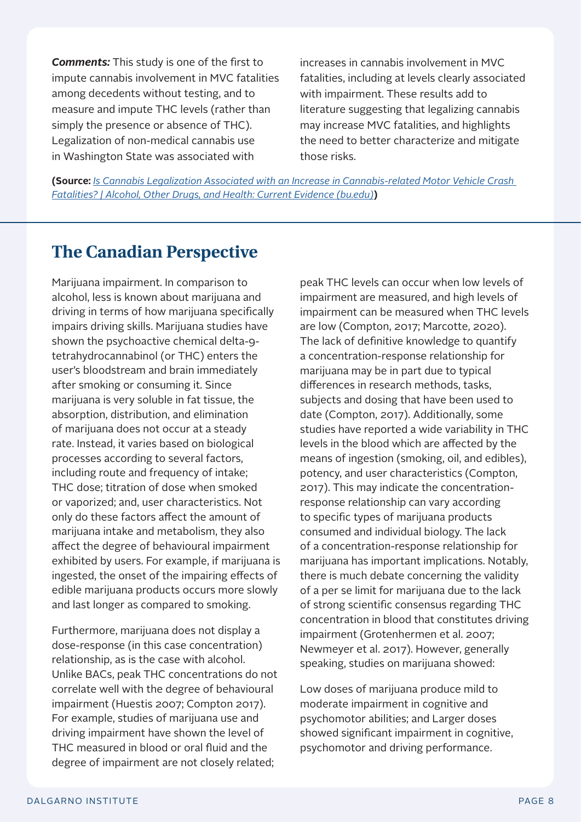*Comments:* This study is one of the first to impute cannabis involvement in MVC fatalities among decedents without testing, and to measure and impute THC levels (rather than simply the presence or absence of THC). Legalization of non-medical cannabis use in Washington State was associated with

increases in cannabis involvement in MVC fatalities, including at levels clearly associated with impairment. These results add to literature suggesting that legalizing cannabis may increase MVC fatalities, and highlights the need to better characterize and mitigate those risks.

**(Source:** *[Is Cannabis Legalization Associated with an Increase in Cannabis-related Motor Vehicle Crash](https://www.bu.edu/aodhealth/2021/10/25/is-cannabis-legalization-associated-with-an-increase-in-cannabis-related-motor-vehicle-crash-fatalities/)  [Fatalities? | Alcohol, Other Drugs, and Health: Current Evidence \(bu.edu\)](https://www.bu.edu/aodhealth/2021/10/25/is-cannabis-legalization-associated-with-an-increase-in-cannabis-related-motor-vehicle-crash-fatalities/)***)**

### **The Canadian Perspective**

Marijuana impairment. In comparison to alcohol, less is known about marijuana and driving in terms of how marijuana specifically impairs driving skills. Marijuana studies have shown the psychoactive chemical delta-9 tetrahydrocannabinol (or THC) enters the user's bloodstream and brain immediately after smoking or consuming it. Since marijuana is very soluble in fat tissue, the absorption, distribution, and elimination of marijuana does not occur at a steady rate. Instead, it varies based on biological processes according to several factors, including route and frequency of intake; THC dose; titration of dose when smoked or vaporized; and, user characteristics. Not only do these factors affect the amount of marijuana intake and metabolism, they also affect the degree of behavioural impairment exhibited by users. For example, if marijuana is ingested, the onset of the impairing effects of edible marijuana products occurs more slowly and last longer as compared to smoking.

Furthermore, marijuana does not display a dose-response (in this case concentration) relationship, as is the case with alcohol. Unlike BACs, peak THC concentrations do not correlate well with the degree of behavioural impairment (Huestis 2007; Compton 2017). For example, studies of marijuana use and driving impairment have shown the level of THC measured in blood or oral fluid and the degree of impairment are not closely related;

peak THC levels can occur when low levels of impairment are measured, and high levels of impairment can be measured when THC levels are low (Compton, 2017; Marcotte, 2020). The lack of definitive knowledge to quantify a concentration-response relationship for marijuana may be in part due to typical differences in research methods, tasks, subjects and dosing that have been used to date (Compton, 2017). Additionally, some studies have reported a wide variability in THC levels in the blood which are affected by the means of ingestion (smoking, oil, and edibles), potency, and user characteristics (Compton, 2017). This may indicate the concentrationresponse relationship can vary according to specific types of marijuana products consumed and individual biology. The lack of a concentration-response relationship for marijuana has important implications. Notably, there is much debate concerning the validity of a per se limit for marijuana due to the lack of strong scientific consensus regarding THC concentration in blood that constitutes driving impairment (Grotenhermen et al. 2007; Newmeyer et al. 2017). However, generally speaking, studies on marijuana showed:

Low doses of marijuana produce mild to moderate impairment in cognitive and psychomotor abilities; and Larger doses showed significant impairment in cognitive, psychomotor and driving performance.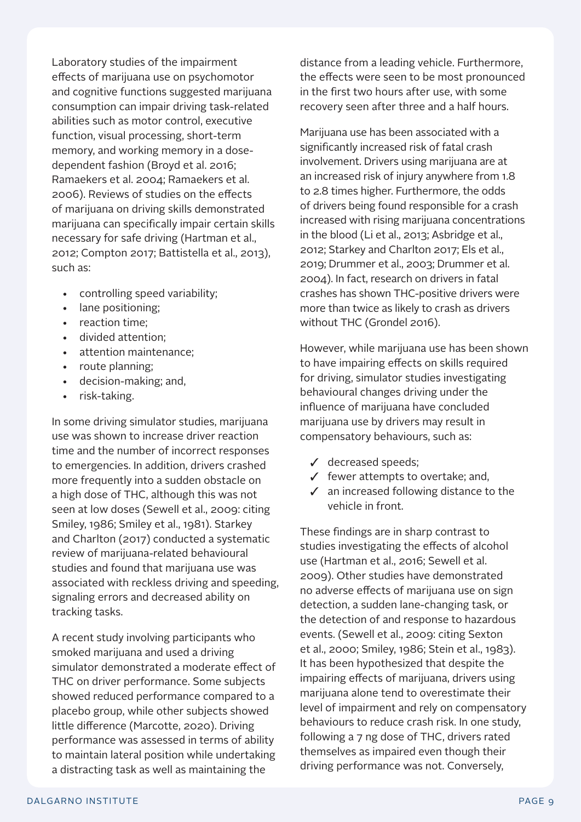Laboratory studies of the impairment effects of marijuana use on psychomotor and cognitive functions suggested marijuana consumption can impair driving task-related abilities such as motor control, executive function, visual processing, short-term memory, and working memory in a dosedependent fashion (Broyd et al. 2016; Ramaekers et al. 2004; Ramaekers et al. 2006). Reviews of studies on the effects of marijuana on driving skills demonstrated marijuana can specifically impair certain skills necessary for safe driving (Hartman et al., 2012; Compton 2017; Battistella et al., 2013), such as:

- controlling speed variability;
- lane positioning;
- reaction time;
- divided attention;
- attention maintenance;
- route planning;
- decision-making; and,
- risk-taking.

In some driving simulator studies, marijuana use was shown to increase driver reaction time and the number of incorrect responses to emergencies. In addition, drivers crashed more frequently into a sudden obstacle on a high dose of THC, although this was not seen at low doses (Sewell et al., 2009: citing Smiley, 1986; Smiley et al., 1981). Starkey and Charlton (2017) conducted a systematic review of marijuana-related behavioural studies and found that marijuana use was associated with reckless driving and speeding, signaling errors and decreased ability on tracking tasks.

A recent study involving participants who smoked marijuana and used a driving simulator demonstrated a moderate effect of THC on driver performance. Some subjects showed reduced performance compared to a placebo group, while other subjects showed little difference (Marcotte, 2020). Driving performance was assessed in terms of ability to maintain lateral position while undertaking a distracting task as well as maintaining the

distance from a leading vehicle. Furthermore, the effects were seen to be most pronounced in the first two hours after use, with some recovery seen after three and a half hours.

Marijuana use has been associated with a significantly increased risk of fatal crash involvement. Drivers using marijuana are at an increased risk of injury anywhere from 1.8 to 2.8 times higher. Furthermore, the odds of drivers being found responsible for a crash increased with rising marijuana concentrations in the blood (Li et al., 2013; Asbridge et al., 2012; Starkey and Charlton 2017; Els et al., 2019; Drummer et al., 2003; Drummer et al. 2004). In fact, research on drivers in fatal crashes has shown THC-positive drivers were more than twice as likely to crash as drivers without THC (Grondel 2016).

However, while marijuana use has been shown to have impairing effects on skills required for driving, simulator studies investigating behavioural changes driving under the influence of marijuana have concluded marijuana use by drivers may result in compensatory behaviours, such as:

- $\checkmark$  decreased speeds;
- $\checkmark$  fewer attempts to overtake; and,
- $\checkmark$  an increased following distance to the vehicle in front.

These findings are in sharp contrast to studies investigating the effects of alcohol use (Hartman et al., 2016; Sewell et al. 2009). Other studies have demonstrated no adverse effects of marijuana use on sign detection, a sudden lane-changing task, or the detection of and response to hazardous events. (Sewell et al., 2009: citing Sexton et al., 2000; Smiley, 1986; Stein et al., 1983). It has been hypothesized that despite the impairing effects of marijuana, drivers using marijuana alone tend to overestimate their level of impairment and rely on compensatory behaviours to reduce crash risk. In one study, following a 7 ng dose of THC, drivers rated themselves as impaired even though their driving performance was not. Conversely,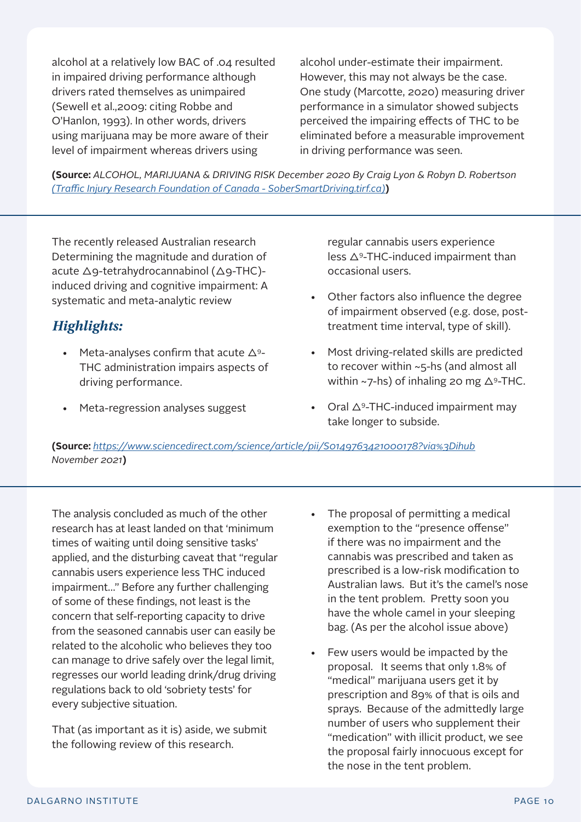alcohol at a relatively low BAC of .04 resulted in impaired driving performance although drivers rated themselves as unimpaired (Sewell et al.,2009: citing Robbe and O'Hanlon, 1993). In other words, drivers using marijuana may be more aware of their level of impairment whereas drivers using

alcohol under-estimate their impairment. However, this may not always be the case. One study (Marcotte, 2020) measuring driver performance in a simulator showed subjects perceived the impairing effects of THC to be eliminated before a measurable improvement in driving performance was seen.

**(Source:** *ALCOHOL, MARIJUANA & DRIVING RISK December 2020 By Craig Lyon & Robyn D. Robertson [\(Traffic Injury Research Foundation of Canada - SoberSmartDriving.tirf.ca\)](https://www.drugfreekidscanada.org/wp-content/uploads/2021/08/SSD-Alcohol-Marijuana-and-Driving-21-3.pdf)***)**

The recently released Australian research Determining the magnitude and duration of acute Δ9-tetrahydrocannabinol (Δ9-THC) induced driving and cognitive impairment: A systematic and meta-analytic review

#### *Highlights:*

- Meta-analyses confirm that acute  $\Delta$ <sup>9</sup>-THC administration impairs aspects of driving performance.
- Meta-regression analyses suggest

regular cannabis users experience less Δ9-THC-induced impairment than occasional users.

- Other factors also influence the degree of impairment observed (e.g. dose, posttreatment time interval, type of skill).
- Most driving-related skills are predicted to recover within ~5-hs (and almost all within ~7-hs) of inhaling 20 mg  $\Delta$ 9-THC.
- Oral  $\Delta$ <sup>9</sup>-THC-induced impairment may take longer to subside.

**(Source:** *<https://www.sciencedirect.com/science/article/pii/S0149763421000178?via%3Dihub> November 2021***)**

The analysis concluded as much of the other research has at least landed on that 'minimum times of waiting until doing sensitive tasks' applied, and the disturbing caveat that "regular cannabis users experience less THC induced impairment…" Before any further challenging of some of these findings, not least is the concern that self-reporting capacity to drive from the seasoned cannabis user can easily be related to the alcoholic who believes they too can manage to drive safely over the legal limit, regresses our world leading drink/drug driving regulations back to old 'sobriety tests' for every subjective situation.

That (as important as it is) aside, we submit the following review of this research.

- The proposal of permitting a medical exemption to the "presence offense" if there was no impairment and the cannabis was prescribed and taken as prescribed is a low-risk modification to Australian laws. But it's the camel's nose in the tent problem. Pretty soon you have the whole camel in your sleeping bag. (As per the alcohol issue above)
- Few users would be impacted by the proposal. It seems that only 1.8% of "medical" marijuana users get it by prescription and 89% of that is oils and sprays. Because of the admittedly large number of users who supplement their "medication" with illicit product, we see the proposal fairly innocuous except for the nose in the tent problem.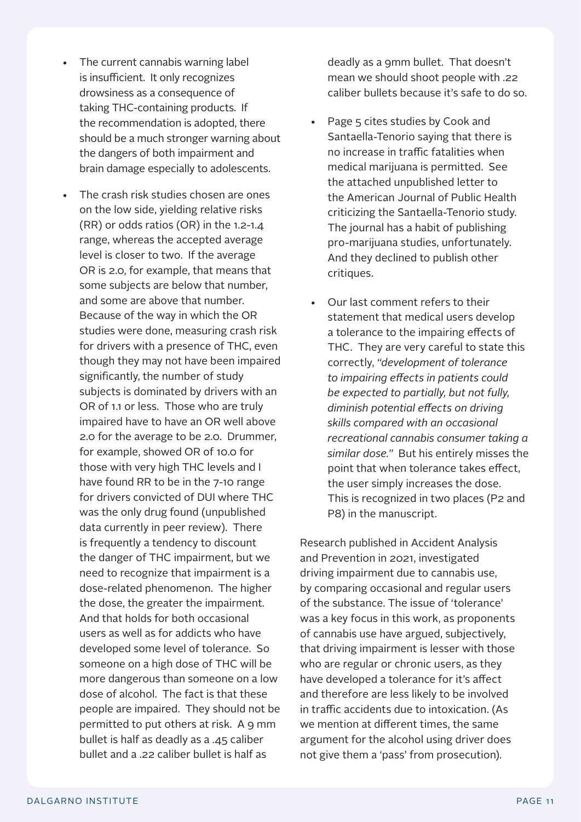- The current cannabis warning label is insufficient. It only recognizes drowsiness as a consequence of taking THC-containing products. If the recommendation is adopted, there should be a much stronger warning about the dangers of both impairment and brain damage especially to adolescents.
- The crash risk studies chosen are ones on the low side, yielding relative risks (RR) or odds ratios (OR) in the 1.2-1.4 range, whereas the accepted average level is closer to two. If the average OR is 2.0, for example, that means that some subjects are below that number, and some are above that number. Because of the way in which the OR studies were done, measuring crash risk for drivers with a presence of THC, even though they may not have been impaired significantly, the number of study subjects is dominated by drivers with an OR of 1.1 or less. Those who are truly impaired have to have an OR well above 2.0 for the average to be 2.0. Drummer, for example, showed OR of 10.0 for those with very high THC levels and I have found RR to be in the 7-10 range for drivers convicted of DUI where THC was the only drug found (unpublished data currently in peer review). There is frequently a tendency to discount the danger of THC impairment, but we need to recognize that impairment is a dose-related phenomenon. The higher the dose, the greater the impairment. And that holds for both occasional users as well as for addicts who have developed some level of tolerance. So someone on a high dose of THC will be more dangerous than someone on a low dose of alcohol. The fact is that these people are impaired. They should not be permitted to put others at risk. A 9 mm bullet is half as deadly as a .45 caliber bullet and a .22 caliber bullet is half as

deadly as a 9mm bullet. That doesn't mean we should shoot people with .22 caliber bullets because it's safe to do so.

- Page 5 cites studies by Cook and Santaella-Tenorio saying that there is no increase in traffic fatalities when medical marijuana is permitted. See the attached unpublished letter to the American Journal of Public Health criticizing the Santaella-Tenorio study. The journal has a habit of publishing pro-marijuana studies, unfortunately. And they declined to publish other critiques.
- Our last comment refers to their statement that medical users develop a tolerance to the impairing effects of THC. They are very careful to state this correctly, *"development of tolerance to impairing effects in patients could be expected to partially, but not fully, diminish potential effects on driving skills compared with an occasional recreational cannabis consumer taking a similar dose."* But his entirely misses the point that when tolerance takes effect, the user simply increases the dose. This is recognized in two places (P2 and P8) in the manuscript.

Research published in Accident Analysis and Prevention in 2021, investigated driving impairment due to cannabis use, by comparing occasional and regular users of the substance. The issue of 'tolerance' was a key focus in this work, as proponents of cannabis use have argued, subjectively, that driving impairment is lesser with those who are regular or chronic users, as they have developed a tolerance for it's affect and therefore are less likely to be involved in traffic accidents due to intoxication. (As we mention at different times, the same argument for the alcohol using driver does not give them a 'pass' from prosecution).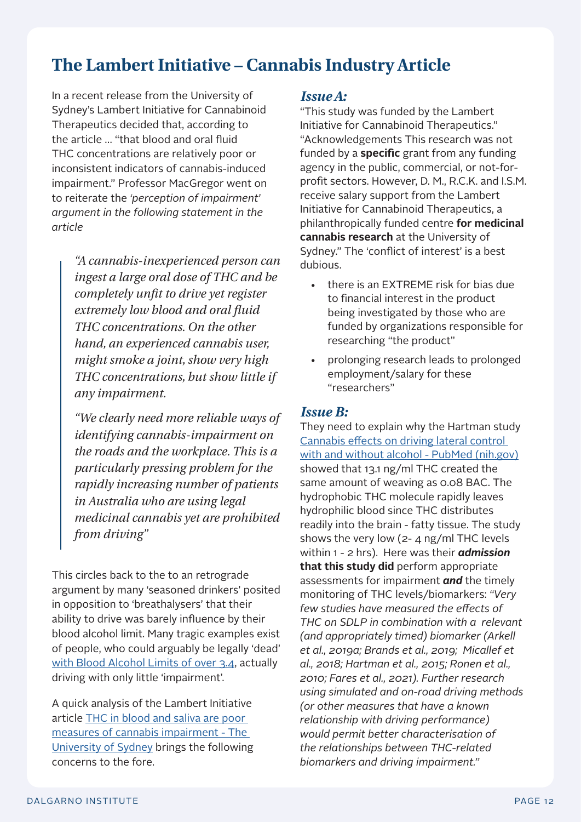## **The Lambert Initiative – Cannabis Industry Article**

In a recent release from the University of Sydney's Lambert Initiative for Cannabinoid Therapeutics decided that, according to the article … "that blood and oral fluid THC concentrations are relatively poor or inconsistent indicators of cannabis-induced impairment." Professor MacGregor went on to reiterate the *'perception of impairment' argument in the following statement in the article*

> *"A cannabis-inexperienced person can ingest a large oral dose of THC and be completely unfit to drive yet register extremely low blood and oral fluid THC concentrations. On the other hand, an experienced cannabis user, might smoke a joint, show very high THC concentrations, but show little if any impairment.*

> *"We clearly need more reliable ways of identifying cannabis-impairment on the roads and the workplace. This is a particularly pressing problem for the rapidly increasing number of patients in Australia who are using legal medicinal cannabis yet are prohibited from driving"*

This circles back to the to an retrograde argument by many 'seasoned drinkers' posited in opposition to 'breathalysers' that their ability to drive was barely influence by their blood alcohol limit. Many tragic examples exist of people, who could arguably be legally 'dead' [with Blood Alcohol Limits of over 3.4](https://www.dailytelegraph.com.au/drunken-catholic-priest-busted-driving-with-341-alcohol-reading-/news-story/8200311d269b46b7750d9bf6549a5d4f), actually driving with only little 'impairment'.

A quick analysis of the Lambert Initiative article [THC in blood and saliva are poor](https://www.sydney.edu.au/news-opinion/news/2021/12/02/thc-blood-saliva-poor-measures-cannabis-impairment-lambert-study.html)  [measures of cannabis impairment - The](https://www.sydney.edu.au/news-opinion/news/2021/12/02/thc-blood-saliva-poor-measures-cannabis-impairment-lambert-study.html)  [University of Sydney](https://www.sydney.edu.au/news-opinion/news/2021/12/02/thc-blood-saliva-poor-measures-cannabis-impairment-lambert-study.html) brings the following concerns to the fore.

#### *Issue A:*

"This study was funded by the Lambert Initiative for Cannabinoid Therapeutics." "Acknowledgements This research was not funded by a **specific** grant from any funding agency in the public, commercial, or not-forprofit sectors. However, D. M., R.C.K. and I.S.M. receive salary support from the Lambert Initiative for Cannabinoid Therapeutics, a philanthropically funded centre **for medicinal cannabis research** at the University of Sydney." The 'conflict of interest' is a best dubious.

- there is an EXTREME risk for bias due to financial interest in the product being investigated by those who are funded by organizations responsible for researching "the product"
- prolonging research leads to prolonged employment/salary for these "researchers"

#### *Issue B:*

They need to explain why the Hartman study [Cannabis effects on driving lateral control](https://pubmed.ncbi.nlm.nih.gov/26144593/)  [with and without alcohol - PubMed \(nih.gov\)](https://pubmed.ncbi.nlm.nih.gov/26144593/) showed that 13.1 ng/ml THC created the same amount of weaving as 0.08 BAC. The hydrophobic THC molecule rapidly leaves hydrophilic blood since THC distributes readily into the brain - fatty tissue. The study shows the very low (2- 4 ng/ml THC levels within 1 - 2 hrs). Here was their *admission* **that this study did** perform appropriate assessments for impairment *and* the timely monitoring of THC levels/biomarkers: *"Very few studies have measured the effects of THC on SDLP in combination with a relevant (and appropriately timed) biomarker (Arkell et al., 2019a; Brands et al., 2019; Micallef et al., 2018; Hartman et al., 2015; Ronen et al., 2010; Fares et al., 2021). Further research using simulated and on-road driving methods (or other measures that have a known relationship with driving performance) would permit better characterisation of the relationships between THC-related biomarkers and driving impairment."*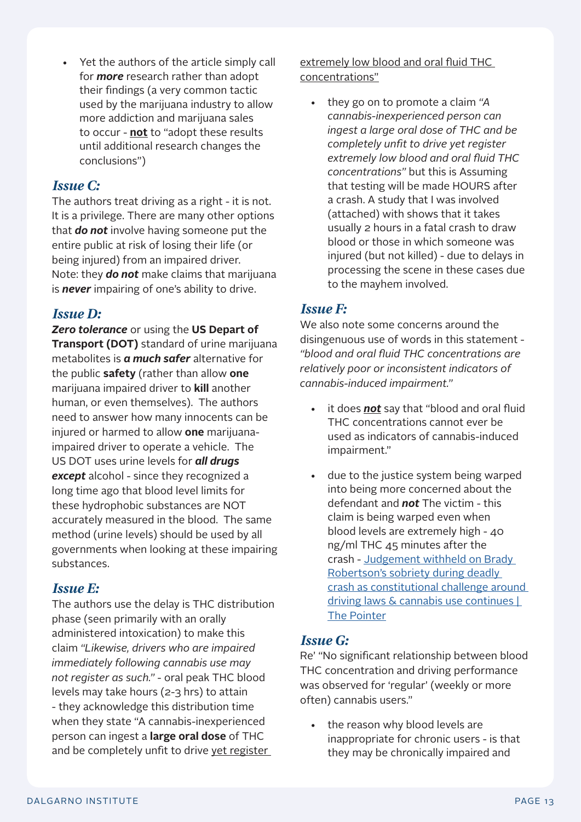to occur - **not** to "adopt these results until additional research changes the

#### *Issue C:*

conclusions")

The authors treat driving as a right - it is not. It is a privilege. There are many other options that *do not* involve having someone put the entire public at risk of losing their life (or being injured) from an impaired driver. Note: they *do not* make claims that marijuana is *never* impairing of one's ability to drive.

• Yet the authors of the article simply call for *more* research rather than adopt their findings (a very common tactic used by the marijuana industry to allow more addiction and marijuana sales

#### *Issue D:*

*Zero tolerance* or using the **US Depart of Transport (DOT)** standard of urine marijuana metabolites is *a much safer* alternative for the public **safety** (rather than allow **one** marijuana impaired driver to **kill** another human, or even themselves). The authors need to answer how many innocents can be injured or harmed to allow **one** marijuanaimpaired driver to operate a vehicle. The US DOT uses urine levels for *all drugs except* alcohol - since they recognized a long time ago that blood level limits for these hydrophobic substances are NOT accurately measured in the blood. The same method (urine levels) should be used by all governments when looking at these impairing substances.

#### *Issue E:*

The authors use the delay is THC distribution phase (seen primarily with an orally administered intoxication) to make this claim *"Likewise, drivers who are impaired immediately following cannabis use may not register as such."* - oral peak THC blood levels may take hours (2-3 hrs) to attain - they acknowledge this distribution time when they state "A cannabis-inexperienced person can ingest a **large oral dose** of THC and be completely unfit to drive yet register

extremely low blood and oral fluid THC concentrations"

• they go on to promote a claim *"A cannabis-inexperienced person can ingest a large oral dose of THC and be completely unfit to drive yet register extremely low blood and oral fluid THC concentrations"* but this is Assuming that testing will be made HOURS after a crash. A study that I was involved (attached) with shows that it takes usually 2 hours in a fatal crash to draw blood or those in which someone was injured (but not killed) - due to delays in processing the scene in these cases due to the mayhem involved.

#### *Issue F:*

We also note some concerns around the disingenuous use of words in this statement - *"blood and oral fluid THC concentrations are relatively poor or inconsistent indicators of cannabis-induced impairment."* 

- it does *not* say that "blood and oral fluid THC concentrations cannot ever be used as indicators of cannabis-induced impairment."
- due to the justice system being warped into being more concerned about the defendant and *not* The victim - this claim is being warped even when blood levels are extremely high - 40 ng/ml THC 45 minutes after the crash - [Judgement withheld on Brady](https://thepointer.com/article/2021-11-19/judgement-withheld-on-brady-robertson-s-sobriety-during-deadly-crash-as-constitutional-challenge-around-driving-laws-cannabis-use-continues)  [Robertson's sobriety during deadly](https://thepointer.com/article/2021-11-19/judgement-withheld-on-brady-robertson-s-sobriety-during-deadly-crash-as-constitutional-challenge-around-driving-laws-cannabis-use-continues)  [crash as constitutional challenge around](https://thepointer.com/article/2021-11-19/judgement-withheld-on-brady-robertson-s-sobriety-during-deadly-crash-as-constitutional-challenge-around-driving-laws-cannabis-use-continues)  [driving laws & cannabis use continues |](https://thepointer.com/article/2021-11-19/judgement-withheld-on-brady-robertson-s-sobriety-during-deadly-crash-as-constitutional-challenge-around-driving-laws-cannabis-use-continues)  [The Pointer](https://thepointer.com/article/2021-11-19/judgement-withheld-on-brady-robertson-s-sobriety-during-deadly-crash-as-constitutional-challenge-around-driving-laws-cannabis-use-continues)

#### *Issue G:*

Re' "No significant relationship between blood THC concentration and driving performance was observed for 'regular' (weekly or more often) cannabis users."

• the reason why blood levels are inappropriate for chronic users - is that they may be chronically impaired and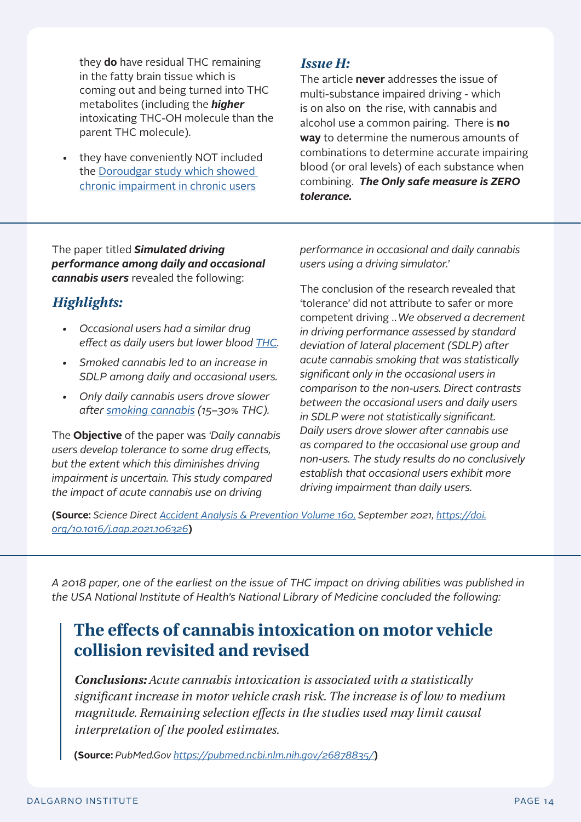they **do** have residual THC remaining in the fatty brain tissue which is coming out and being turned into THC metabolites (including the *higher* intoxicating THC-OH molecule than the parent THC molecule).

• they have conveniently NOT included the [Doroudgar study which showed](https://www.tandfonline.com/doi/abs/10.1080/15389588.2018.1501800)  [chronic impairment in chronic users](https://www.tandfonline.com/doi/abs/10.1080/15389588.2018.1501800)

#### *Issue H:*

The article **never** addresses the issue of multi-substance impaired driving - which is on also on the rise, with cannabis and alcohol use a common pairing. There is **no way** to determine the numerous amounts of combinations to determine accurate impairing blood (or oral levels) of each substance when combining. *The Only safe measure is ZERO tolerance.* 

The paper titled *Simulated driving performance among daily and occasional cannabis users* revealed the following:

#### *Highlights:*

- *• Occasional users had a similar drug effect as daily users but lower blood [THC](https://www.sciencedirect.com/topics/engineering/tetrahydrocannabinol).*
- *• Smoked cannabis led to an increase in SDLP among daily and occasional users.*
- *• Only daily cannabis users drove slower after [smoking cannabis](https://www.sciencedirect.com/topics/medicine-and-dentistry/cannabis-smoking) (15–30% THC).*

The **Objective** of the paper was *'Daily cannabis users develop tolerance to some drug effects, but the extent which this diminishes driving impairment is uncertain. This study compared the impact of acute cannabis use on driving* 

*performance in occasional and daily cannabis users using a driving simulator.'* 

The conclusion of the research revealed that 'tolerance' did not attribute to safer or more competent driving *…We observed a decrement in driving performance assessed by standard deviation of lateral placement (SDLP) after acute cannabis smoking that was statistically significant only in the occasional users in comparison to the non-users. Direct contrasts between the occasional users and daily users in SDLP were not statistically significant. Daily users drove slower after cannabis use as compared to the occasional use group and non-users. The study results do no conclusively establish that occasional users exhibit more driving impairment than daily users.* 

**(Source:** *Science Direct [Accident Analysis & Prevention Volume 160](https://www.sciencedirect.com/science/journal/00014575), September 2021, [https://doi.](https://doi.org/10.1016/j.aap.2021.106326) [org/10.1016/j.aap.2021.106326](https://doi.org/10.1016/j.aap.2021.106326)***)**

*A 2018 paper, one of the earliest on the issue of THC impact on driving abilities was published in the USA National Institute of Health's National Library of Medicine concluded the following:*

## **The effects of cannabis intoxication on motor vehicle collision revisited and revised**

*Conclusions: Acute cannabis intoxication is associated with a statistically significant increase in motor vehicle crash risk. The increase is of low to medium magnitude. Remaining selection effects in the studies used may limit causal interpretation of the pooled estimates.*

**(Source:** *PubMed.Gov <https://pubmed.ncbi.nlm.nih.gov/26878835/>***)**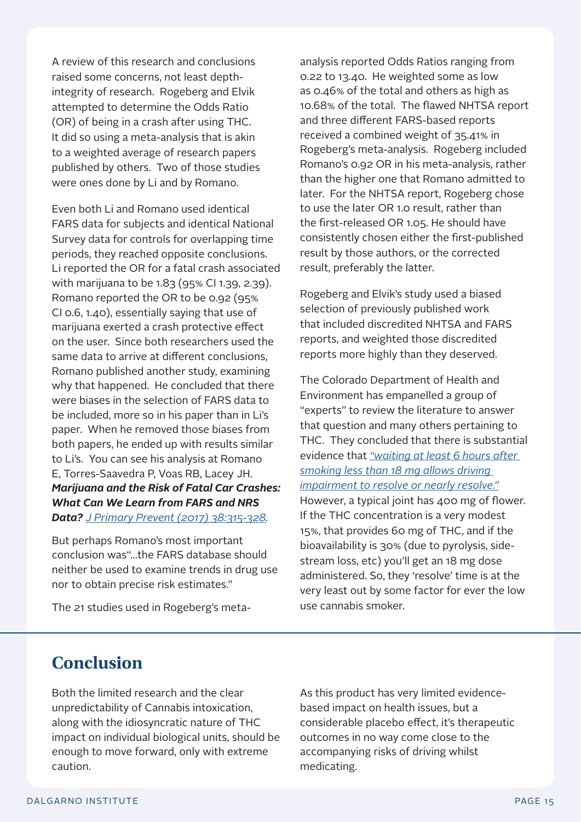A review of this research and conclusions raised some concerns, not least depthintegrity of research. Rogeberg and Elvik attempted to determine the Odds Ratio (OR) of being in a crash after using THC. It did so using a meta-analysis that is akin to a weighted average of research papers published by others. Two of those studies were ones done by Li and by Romano.

Even both Li and Romano used identical FARS data for subjects and identical National Survey data for controls for overlapping time periods, they reached opposite conclusions. Li reported the OR for a fatal crash associated with marijuana to be 1.83 (95% CI 1.39, 2.39). Romano reported the OR to be 0.92 (95% CI 0.6, 1.40), essentially saying that use of marijuana exerted a crash protective effect on the user. Since both researchers used the same data to arrive at different conclusions, Romano published another study, examining why that happened. He concluded that there were biases in the selection of FARS data to be included, more so in his paper than in Li's paper. When he removed those biases from both papers, he ended up with results similar to Li's. You can see his analysis at Romano E, Torres-Saavedra P, Voas RB, Lacey JH. *Marijuana and the Risk of Fatal Car Crashes: What Can We Learn from FARS and NRS Data? [J Primary Prevent \(2017\) 38:315-328.](https://pubmed.ncbi.nlm.nih.gov/28500615/)* 

But perhaps Romano's most important conclusion was"…the FARS database should neither be used to examine trends in drug use nor to obtain precise risk estimates."

The 21 studies used in Rogeberg's meta-

analysis reported Odds Ratios ranging from 0.22 to 13.40. He weighted some as low as 0.46% of the total and others as high as 10.68% of the total. The flawed NHTSA report and three different FARS-based reports received a combined weight of 35.41% in Rogeberg's meta-analysis. Rogeberg included Romano's 0.92 OR in his meta-analysis, rather than the higher one that Romano admitted to later. For the NHTSA report, Rogeberg chose to use the later OR 1.0 result, rather than the first-released OR 1.05. He should have consistently chosen either the first-published result by those authors, or the corrected result, preferably the latter.

Rogeberg and Elvik's study used a biased selection of previously published work that included discredited NHTSA and FARS reports, and weighted those discredited reports more highly than they deserved.

The Colorado Department of Health and Environment has empanelled a group of "experts" to review the literature to answer that question and many others pertaining to THC. They concluded that there is substantial evidence that *["waiting at least 6 hours after](https://mccagueborlack.com/emails/pdfs/marijuana-health-concerns-colorado-2016.pdf)  [smoking less than 18 mg allows driving](https://mccagueborlack.com/emails/pdfs/marijuana-health-concerns-colorado-2016.pdf)  [impairment to resolve or nearly resolve."](https://mccagueborlack.com/emails/pdfs/marijuana-health-concerns-colorado-2016.pdf)*  However, a typical joint has 400 mg of flower. If the THC concentration is a very modest 15%, that provides 60 mg of THC, and if the bioavailability is 30% (due to pyrolysis, sidestream loss, etc) you'll get an 18 mg dose administered. So, they 'resolve' time is at the very least out by some factor for ever the low use cannabis smoker.

## **Conclusion**

Both the limited research and the clear unpredictability of Cannabis intoxication, along with the idiosyncratic nature of THC impact on individual biological units, should be enough to move forward, only with extreme caution.

As this product has very limited evidencebased impact on health issues, but a considerable placebo effect, it's therapeutic outcomes in no way come close to the accompanying risks of driving whilst medicating.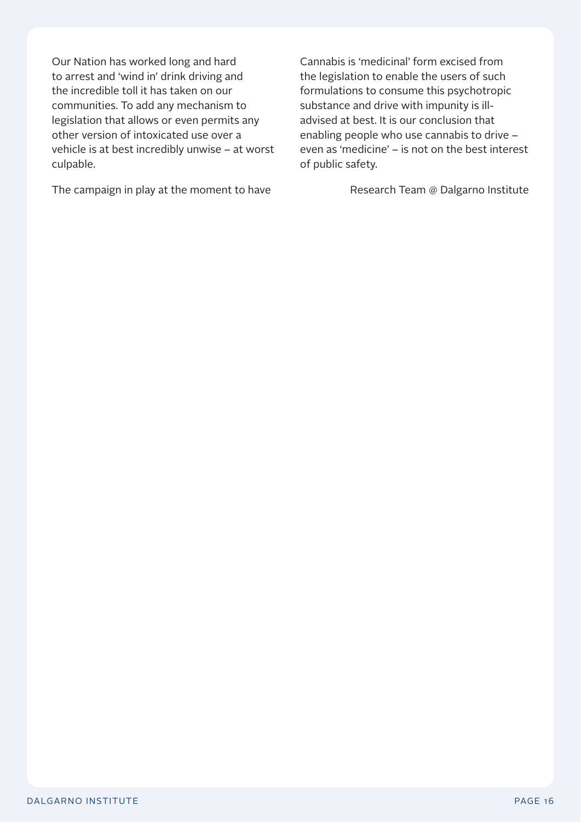Our Nation has worked long and hard to arrest and 'wind in' drink driving and the incredible toll it has taken on our communities. To add any mechanism to legislation that allows or even permits any other version of intoxicated use over a vehicle is at best incredibly unwise – at worst culpable.

The campaign in play at the moment to have

Cannabis is 'medicinal' form excised from the legislation to enable the users of such formulations to consume this psychotropic substance and drive with impunity is illadvised at best. It is our conclusion that enabling people who use cannabis to drive – even as 'medicine' – is not on the best interest of public safety.

Research Team @ Dalgarno Institute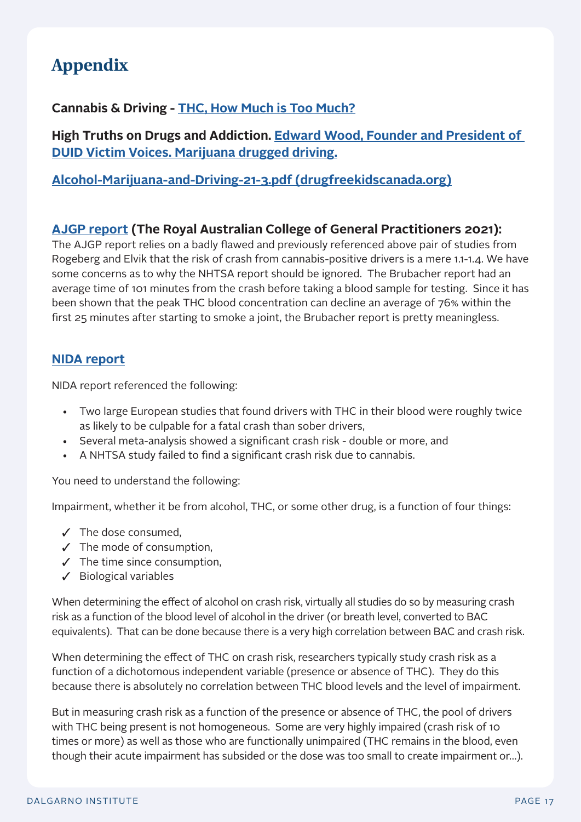## **Appendix**

#### **Cannabis & Driving - [THC, How Much is Too Much?](https://www.youtube.com/watch?v=ToOy2imdYOY&t=8s)**

**High Truths on Drugs and Addiction. [Edward Wood, Founder and President of](https://hightruths.com/podcast/episode-10-edward-wood-marijuana-drugged-driving/)  [DUID Victim Voices. Marijuana drugged driving.](https://hightruths.com/podcast/episode-10-edward-wood-marijuana-drugged-driving/)**

#### **[Alcohol-Marijuana-and-Driving-21-3.pdf \(drugfreekidscanada.org\)](https://www.drugfreekidscanada.org/wp-content/uploads/2021/08/SSD-Alcohol-Marijuana-and-Driving-21-3.pdf)**

#### **[AJGP report](https://www1.racgp.org.au/getattachment/ef4cc327-723b-42c9-b3a4-904f61fcbef6/Medical-cannabis-and-driving.aspx) (The Royal Australian College of General Practitioners 2021):**

The AJGP report relies on a badly flawed and previously referenced above pair of studies from Rogeberg and Elvik that the risk of crash from cannabis-positive drivers is a mere 1.1-1.4. We have some concerns as to why the NHTSA report should be ignored. The Brubacher report had an average time of 101 minutes from the crash before taking a blood sample for testing. Since it has been shown that the peak THC blood concentration can decline an average of 76% within the first 25 minutes after starting to smoke a joint, the Brubacher report is pretty meaningless.

#### **[NIDA report](https://www.drugabuse.gov/publications/research-reports/marijuana/does-marijuana-use-affect-driving)**

NIDA report referenced the following:

- Two large European studies that found drivers with THC in their blood were roughly twice as likely to be culpable for a fatal crash than sober drivers,
- Several meta-analysis showed a significant crash risk double or more, and
- A NHTSA study failed to find a significant crash risk due to cannabis.

You need to understand the following:

Impairment, whether it be from alcohol, THC, or some other drug, is a function of four things:

- $\checkmark$  The dose consumed,
- $\checkmark$  The mode of consumption,
- $\checkmark$  The time since consumption,
- $\checkmark$  Biological variables

When determining the effect of alcohol on crash risk, virtually all studies do so by measuring crash risk as a function of the blood level of alcohol in the driver (or breath level, converted to BAC equivalents). That can be done because there is a very high correlation between BAC and crash risk.

When determining the effect of THC on crash risk, researchers typically study crash risk as a function of a dichotomous independent variable (presence or absence of THC). They do this because there is absolutely no correlation between THC blood levels and the level of impairment.

But in measuring crash risk as a function of the presence or absence of THC, the pool of drivers with THC being present is not homogeneous. Some are very highly impaired (crash risk of 10 times or more) as well as those who are functionally unimpaired (THC remains in the blood, even though their acute impairment has subsided or the dose was too small to create impairment or…).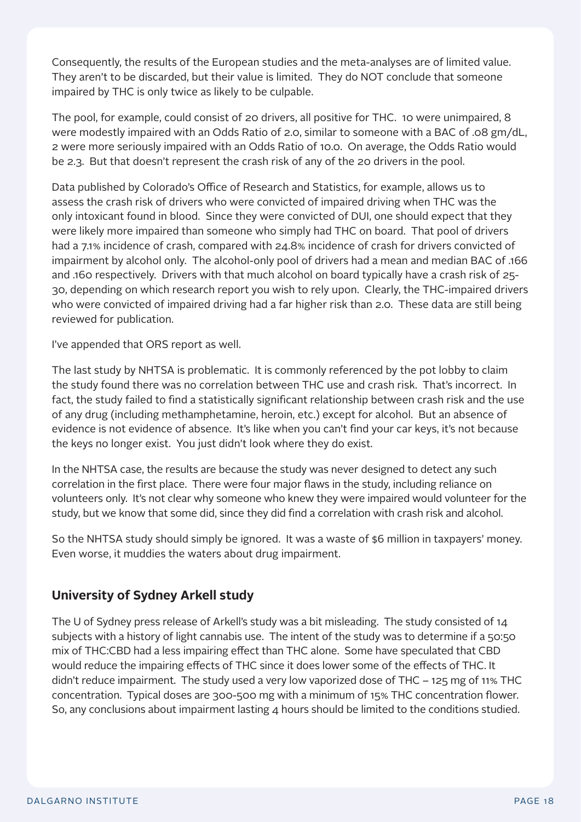Consequently, the results of the European studies and the meta-analyses are of limited value. They aren't to be discarded, but their value is limited. They do NOT conclude that someone impaired by THC is only twice as likely to be culpable.

The pool, for example, could consist of 20 drivers, all positive for THC. 10 were unimpaired, 8 were modestly impaired with an Odds Ratio of 2.0, similar to someone with a BAC of .08 gm/dL, 2 were more seriously impaired with an Odds Ratio of 10.0. On average, the Odds Ratio would be 2.3. But that doesn't represent the crash risk of any of the 20 drivers in the pool.

Data published by Colorado's Office of Research and Statistics, for example, allows us to assess the crash risk of drivers who were convicted of impaired driving when THC was the only intoxicant found in blood. Since they were convicted of DUI, one should expect that they were likely more impaired than someone who simply had THC on board. That pool of drivers had a 7.1% incidence of crash, compared with 24.8% incidence of crash for drivers convicted of impairment by alcohol only. The alcohol-only pool of drivers had a mean and median BAC of .166 and .160 respectively. Drivers with that much alcohol on board typically have a crash risk of 25- 30, depending on which research report you wish to rely upon. Clearly, the THC-impaired drivers who were convicted of impaired driving had a far higher risk than 2.0. These data are still being reviewed for publication.

I've appended that ORS report as well.

The last study by NHTSA is problematic. It is commonly referenced by the pot lobby to claim the study found there was no correlation between THC use and crash risk. That's incorrect. In fact, the study failed to find a statistically significant relationship between crash risk and the use of any drug (including methamphetamine, heroin, etc.) except for alcohol. But an absence of evidence is not evidence of absence. It's like when you can't find your car keys, it's not because the keys no longer exist. You just didn't look where they do exist.

In the NHTSA case, the results are because the study was never designed to detect any such correlation in the first place. There were four major flaws in the study, including reliance on volunteers only. It's not clear why someone who knew they were impaired would volunteer for the study, but we know that some did, since they did find a correlation with crash risk and alcohol.

So the NHTSA study should simply be ignored. It was a waste of \$6 million in taxpayers' money. Even worse, it muddies the waters about drug impairment.

#### **University of Sydney Arkell study**

The U of Sydney press release of Arkell's study was a bit misleading. The study consisted of 14 subjects with a history of light cannabis use. The intent of the study was to determine if a 50:50 mix of THC:CBD had a less impairing effect than THC alone. Some have speculated that CBD would reduce the impairing effects of THC since it does lower some of the effects of THC. It didn't reduce impairment. The study used a very low vaporized dose of THC – 125 mg of 11% THC concentration. Typical doses are 300-500 mg with a minimum of 15% THC concentration flower. So, any conclusions about impairment lasting  $4$  hours should be limited to the conditions studied.